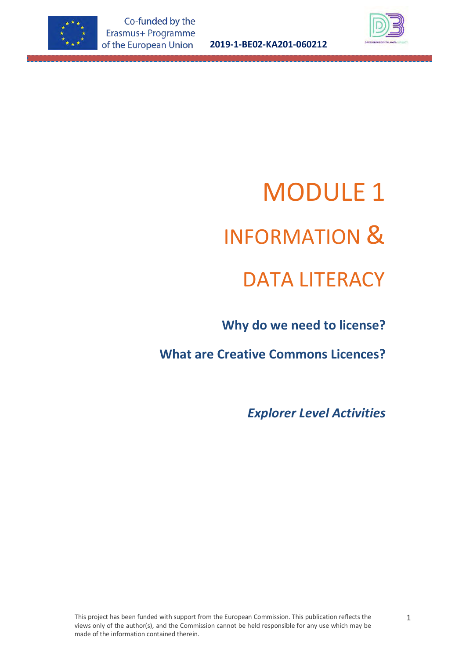

**2019-1-BE02-KA201-060212**



# MODULE 1 INFORMATION & DATA LITERACY

 **Why do we need to license?**

**What are Creative Commons Licences?**

*Explorer Level Activities*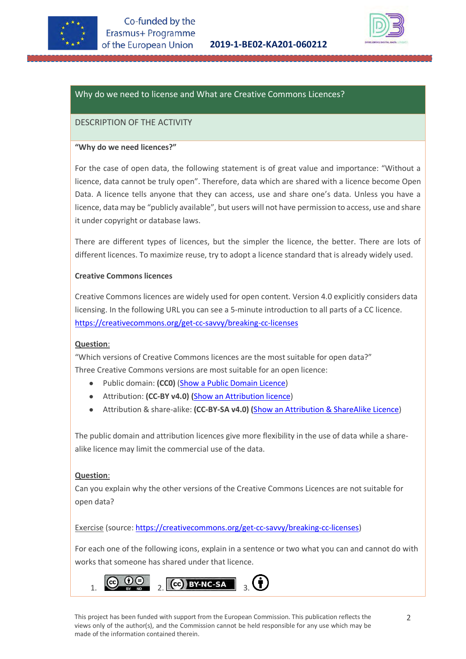



# Why do we need to license and What are Creative Commons Licences?

## DESCRIPTION OF THE ACTIVITY

#### **"Why do we need licences?"**

For the case of open data, the following statement is of great value and importance: "Without a licence, data cannot be truly open". Therefore, data which are shared with a licence become Open Data. A licence tells anyone that they can access, use and share one's data. Unless you have a licence, data may be "publicly available", but users will not have permission to access, use and share it under copyright or database laws.

There are different types of licences, but the simpler the licence, the better. There are lots of different licences. To maximize reuse, try to adopt a licence standard that is already widely used.

#### **Creative Commons licences**

Creative Commons licences are widely used for open content. Version 4.0 explicitly considers data licensing. In the following URL you can see a 5-minute introduction to all parts of a CC licence. [https://creativecommons.org/get-cc-savvy/breaking-cc-licenses](https://creativecommons.org/get-cc-savvy/breaking-cc-licenses/)

#### **Question**:

"Which versions of Creative Commons licences are the most suitable for open data?" Three Creative Commons versions are most suitable for an open licence:

- Public domain: **(CC0)** [\(Show a Public Domain Licence\)](https://creativecommons.org/publicdomain/zero/1.0/)
- Attribution: **(CC-BY v4.0) (**[Show an Attribution licence\)](https://creativecommons.org/licenses/by/4.0/)
- Attribution & share-alike: **(CC-BY-SA v4.0) (**[Show an Attribution & ShareAlike Licence\)](https://creativecommons.org/licenses/by-sa/4.0/)

The public domain and attribution licences give more flexibility in the use of data while a sharealike licence may limit the commercial use of the data.

#### **Question**:

Can you explain why the other versions of the Creative Commons Licences are not suitable for open data?

Exercise (source: [https://creativecommons.org/get-cc-savvy/breaking-cc-licenses\)](https://creativecommons.org/get-cc-savvy/breaking-cc-licenses/)

For each one of the following icons, explain in a sentence or two what you can and cannot do with works that someone has shared under that licence.



This project has been funded with support from the European Commission. This publication reflects the views only of the author(s), and the Commission cannot be held responsible for any use which may be made of the information contained therein.